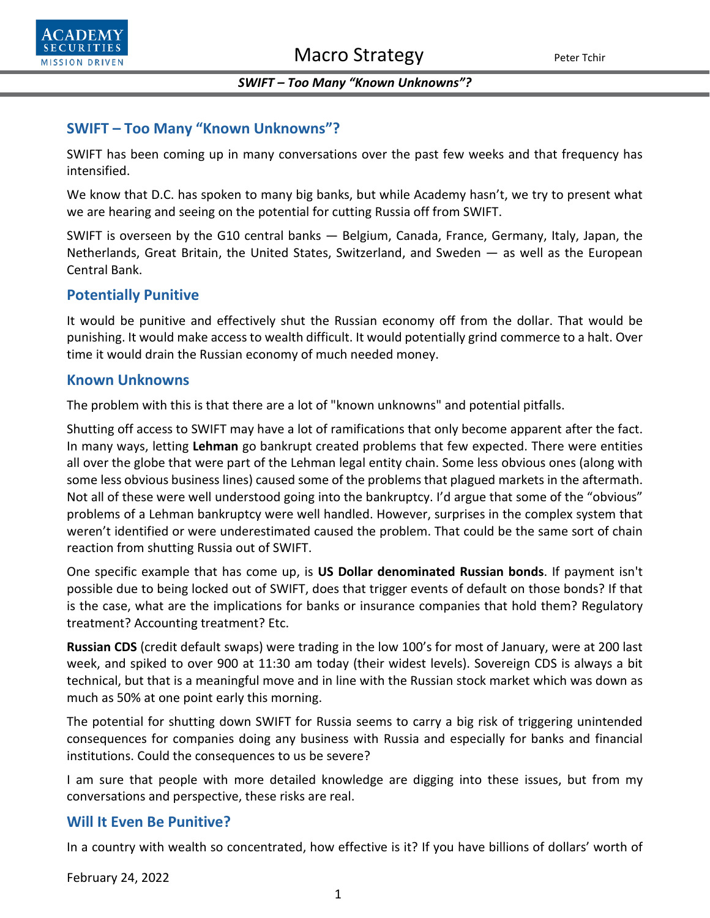#### *SWIFT – Too Many "Known Unknowns"?*

# **SWIFT – Too Many "Known Unknowns"?**

SWIFT has been coming up in many conversations over the past few weeks and that frequency has intensified.

We know that D.C. has spoken to many big banks, but while Academy hasn't, we try to present what we are hearing and seeing on the potential for cutting Russia off from SWIFT.

SWIFT is overseen by the G10 central banks — Belgium, Canada, France, Germany, Italy, Japan, the Netherlands, Great Britain, the United States, Switzerland, and Sweden — as well as the European Central Bank.

## **Potentially Punitive**

It would be punitive and effectively shut the Russian economy off from the dollar. That would be punishing. It would make access to wealth difficult. It would potentially grind commerce to a halt. Over time it would drain the Russian economy of much needed money.

#### **Known Unknowns**

The problem with this is that there are a lot of "known unknowns" and potential pitfalls.

Shutting off access to SWIFT may have a lot of ramifications that only become apparent after the fact. In many ways, letting **Lehman** go bankrupt created problems that few expected. There were entities all over the globe that were part of the Lehman legal entity chain. Some less obvious ones (along with some less obvious business lines) caused some of the problems that plagued markets in the aftermath. Not all of these were well understood going into the bankruptcy. I'd argue that some of the "obvious" problems of a Lehman bankruptcy were well handled. However, surprises in the complex system that weren't identified or were underestimated caused the problem. That could be the same sort of chain reaction from shutting Russia out of SWIFT.

One specific example that has come up, is **US Dollar denominated Russian bonds**. If payment isn't possible due to being locked out of SWIFT, does that trigger events of default on those bonds? If that is the case, what are the implications for banks or insurance companies that hold them? Regulatory treatment? Accounting treatment? Etc.

**Russian CDS** (credit default swaps) were trading in the low 100's for most of January, were at 200 last week, and spiked to over 900 at 11:30 am today (their widest levels). Sovereign CDS is always a bit technical, but that is a meaningful move and in line with the Russian stock market which was down as much as 50% at one point early this morning.

The potential for shutting down SWIFT for Russia seems to carry a big risk of triggering unintended consequences for companies doing any business with Russia and especially for banks and financial institutions. Could the consequences to us be severe?

I am sure that people with more detailed knowledge are digging into these issues, but from my conversations and perspective, these risks are real.

## **Will It Even Be Punitive?**

In a country with wealth so concentrated, how effective is it? If you have billions of dollars' worth of

February 24, 2022